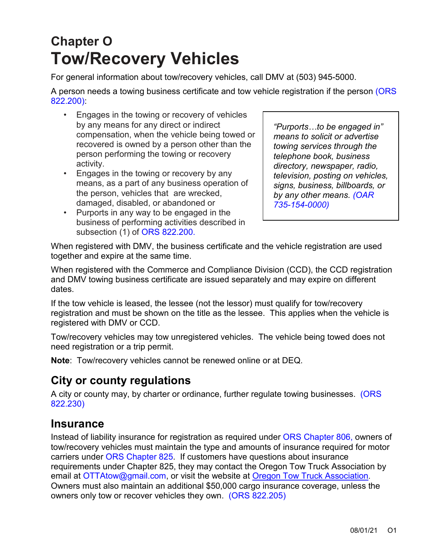# **Chapter O Tow/Recovery Vehicles**

For general information about tow/recovery vehicles, call DMV at (503) 945-5000.

A person needs a towing business certificate and tow vehicle registration if the person [\(ORS](https://www.oregonlegislature.gov/bills_laws/ors/ors822.html)  [822.200\):](https://www.oregonlegislature.gov/bills_laws/ors/ors822.html)

- Engages in the towing or recovery of vehicles by any means for any direct or indirect compensation, when the vehicle being towed or recovered is owned by a person other than the person performing the towing or recovery activity.
- Engages in the towing or recovery by any means, as a part of any business operation of the person, vehicles that are wrecked, damaged, disabled, or abandoned or
- Purports in any way to be engaged in the business of performing activities described in subsection (1) of [ORS 822.200.](https://www.oregonlegislature.gov/bills_laws/ors/ors822.html)

*"Purports…to be engaged in" means to solicit or advertise towing services through the telephone book, business directory, newspaper, radio, television, posting on vehicles, signs, business, billboards, or by any other means. [\(OAR](https://secure.sos.state.or.us/oard/displayDivisionRules.action?selectedDivision=3392)  [735-154-0000\)](https://secure.sos.state.or.us/oard/displayDivisionRules.action?selectedDivision=3392)*

When registered with DMV, the business certificate and the vehicle registration are used together and expire at the same time.

When registered with the Commerce and Compliance Division (CCD), the CCD registration and DMV towing business certificate are issued separately and may expire on different dates.

If the tow vehicle is leased, the lessee (not the lessor) must qualify for tow/recovery registration and must be shown on the title as the lessee. This applies when the vehicle is registered with DMV or CCD.

Tow/recovery vehicles may tow unregistered vehicles. The vehicle being towed does not need registration or a trip permit.

**Note**: Tow/recovery vehicles cannot be renewed online or at DEQ.

### **City or county regulations**

A city or county may, by charter or ordinance, further regulate towing businesses. (ORS [822.230\)](https://www.oregonlegislature.gov/bills_laws/ors/ors822.html)

#### **Insurance**

Instead of liability insurance for registration as required under [ORS Chapter 806,](https://www.oregonlegislature.gov/bills_laws/ors/ors806.html) owners of tow/recovery vehicles must maintain the type and amounts of insurance required for motor carriers under [ORS Chapter 825. I](https://www.oregonlegislature.gov/bills_laws/ors/ors825.html)f customers have questions about insurance requirements under Chapter 825, they may contact the Oregon Tow Truck Association by email at [OTTAtow@gmail.com,](mailto:OTTAtow@gmail.com) or visit the website at [Oregon Tow Truck Association](https://oregontowtruckassociation.com/). Owners must also maintain an additional \$50,000 cargo insurance coverage, unless the owners only tow or recover vehicles they own. [\(ORS 822.205\)](https://www.oregonlegislature.gov/bills_laws/ors/ors822.html)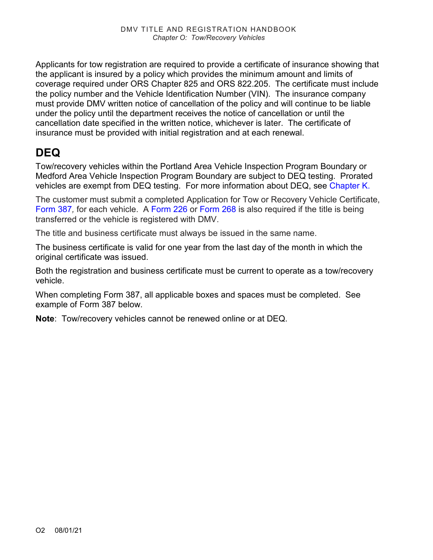Applicants for tow registration are required to provide a certificate of insurance showing that the applicant is insured by a policy which provides the minimum amount and limits of coverage required under ORS Chapter 825 and ORS 822.205. The certificate must include the policy number and the Vehicle Identification Number (VIN). The insurance company must provide DMV written notice of cancellation of the policy and will continue to be liable under the policy until the department receives the notice of cancellation or until the cancellation date specified in the written notice, whichever is later. The certificate of insurance must be provided with initial registration and at each renewal.

## **DEQ**

Tow/recovery vehicles within the Portland Area Vehicle Inspection Program Boundary or Medford Area Vehicle Inspection Program Boundary are subject to DEQ testing. Prorated vehicles are exempt from DEQ testing. For more information about DEQ, see [Chapter K.](https://www.oregon.gov/ODOT/DMV/docs/VTRH/Chapter_K.pdf)

The customer must submit a completed Application for Tow or Recovery Vehicle Certificate, [Form 387](https://www.odot.state.or.us/forms/dmv/387fill.pdf)*,* for each vehicle. A [Form 226](https://www.odot.state.or.us/forms/dmv/226fill.pdf) or [Form 268](https://www.odot.state.or.us/forms/dmv/268fill.pdf) is also required if the title is being transferred or the vehicle is registered with DMV.

The title and business certificate must always be issued in the same name.

The business certificate is valid for one year from the last day of the month in which the original certificate was issued.

Both the registration and business certificate must be current to operate as a tow/recovery vehicle.

When completing Form 387, all applicable boxes and spaces must be completed. See example of Form 387 below.

**Note**: Tow/recovery vehicles cannot be renewed online or at DEQ.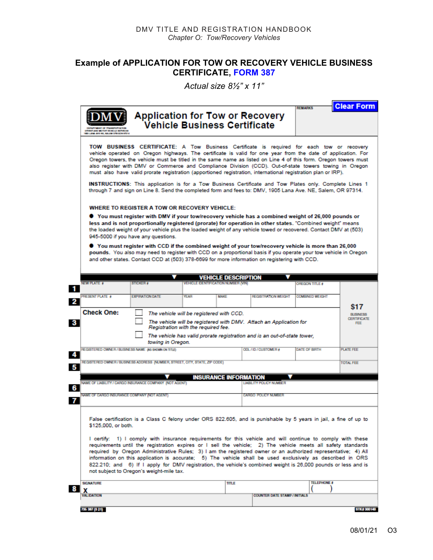#### **Example of APPLICATION FOR TOW OR RECOVERY VEHICLE BUSINESS CERTIFICATE, [FORM 387](https://www.odot.state.or.us/forms/dmv/387fill.pdf)**

*Actual size 8½" x 11"*

| INT OF TRANSPORTATION<br>MOTOR VEHICLE RETVICE<br>ANA AN'L NE, KALEM OF BIGON STELL | <b>Application for Tow or Recovery</b>                                                                                                                                                                                                                                                                                                                                                                                                                                                                                                                                                                                                                                                                                                     | Vehicle Business Certificate |                                                                        |                                      |                        |                  |
|-------------------------------------------------------------------------------------|--------------------------------------------------------------------------------------------------------------------------------------------------------------------------------------------------------------------------------------------------------------------------------------------------------------------------------------------------------------------------------------------------------------------------------------------------------------------------------------------------------------------------------------------------------------------------------------------------------------------------------------------------------------------------------------------------------------------------------------------|------------------------------|------------------------------------------------------------------------|--------------------------------------|------------------------|------------------|
|                                                                                     | TOW BUSINESS CERTIFICATE: A Tow Business Certificate is required for each tow or recovery<br>vehicle operated on Oregon highways. The certificate is valid for one year from the date of application. For<br>Oregon towers, the vehicle must be titled in the same name as listed on Line 4 of this form. Oregon towers must<br>also register with DMV or Commerce and Compliance Division (CCD). Out-of-state towers towing in Oregon<br>must also have valid prorate registration (apportioned registration, international registration plan or IRP).<br><b>INSTRUCTIONS:</b> This application is for a Tow Business Certificate and Tow Plates only. Complete Lines 1                                                                   |                              |                                                                        |                                      |                        |                  |
|                                                                                     | through 7 and sign on Line 8. Send the completed form and fees to: DMV, 1905 Lana Ave. NE, Salem, OR 97314.                                                                                                                                                                                                                                                                                                                                                                                                                                                                                                                                                                                                                                |                              |                                                                        |                                      |                        |                  |
|                                                                                     | WHERE TO REGISTER A TOW OR RECOVERY VEHICLE:                                                                                                                                                                                                                                                                                                                                                                                                                                                                                                                                                                                                                                                                                               |                              |                                                                        |                                      |                        |                  |
|                                                                                     | ● You must register with DMV if your tow/recovery vehicle has a combined weight of 26,000 pounds or<br>less and is not proportionally registered (prorate) for operation in other states. "Combined weight" means<br>the loaded weight of your vehicle plus the loaded weight of any vehicle towed or recovered. Contact DMV at (503)<br>945-5000 if you have any questions.<br>$\bullet$ You must register with CCD if the combined weight of your tow/recovery vehicle is more than 26,000 $\bullet$<br>pounds. You also may need to register with CCD on a proportional basis if you operate your tow vehicle in Oregon<br>and other states. Contact CCD at (503) 378-6699 for more information on registering with CCD.                |                              |                                                                        |                                      |                        |                  |
|                                                                                     |                                                                                                                                                                                                                                                                                                                                                                                                                                                                                                                                                                                                                                                                                                                                            |                              |                                                                        |                                      |                        |                  |
| <b>NEW PLATE #</b>                                                                  | STICKER #                                                                                                                                                                                                                                                                                                                                                                                                                                                                                                                                                                                                                                                                                                                                  |                              | <b>VEHICLE DESCRIPTION</b><br><b>VEHICLE DENTIFICATION NUMBER (VIN</b> |                                      | OREGON TITLE #         |                  |
|                                                                                     |                                                                                                                                                                                                                                                                                                                                                                                                                                                                                                                                                                                                                                                                                                                                            |                              |                                                                        |                                      |                        |                  |
| <b>PRESENT PLATE #</b>                                                              | <b>EXPIRATION DATE</b>                                                                                                                                                                                                                                                                                                                                                                                                                                                                                                                                                                                                                                                                                                                     | <b>YEAR</b>                  | <b>MAKE</b>                                                            | <b>REGISTRATION WEIGHT</b>           | <b>COMBINED WEIGHT</b> |                  |
| <b>Check One:</b>                                                                   | The vehicle will be registered with CCD.<br>The vehicle will be registered with DMV. Attach an Application for<br>Registration with the required fee.<br>The vehicle has valid prorate registration and is an out-of-state tower,                                                                                                                                                                                                                                                                                                                                                                                                                                                                                                          |                              |                                                                        |                                      |                        |                  |
|                                                                                     |                                                                                                                                                                                                                                                                                                                                                                                                                                                                                                                                                                                                                                                                                                                                            |                              |                                                                        |                                      |                        |                  |
|                                                                                     | towing in Oregon.                                                                                                                                                                                                                                                                                                                                                                                                                                                                                                                                                                                                                                                                                                                          |                              |                                                                        | ODL/ID/CUSTOMER#                     | DATE OF BIRTH          | <b>PLATE FEE</b> |
|                                                                                     | REGISTERED OWNER / BUSINESS NAME (AS SHOWN ON TITLE)                                                                                                                                                                                                                                                                                                                                                                                                                                                                                                                                                                                                                                                                                       |                              |                                                                        |                                      |                        |                  |
|                                                                                     | REGISTERED OWNER / BUSINESS ADDRESS (NUMBER, STREET, CITY, STATE, ZIP CODE)                                                                                                                                                                                                                                                                                                                                                                                                                                                                                                                                                                                                                                                                |                              |                                                                        |                                      |                        | <b>TOTAL FEE</b> |
|                                                                                     |                                                                                                                                                                                                                                                                                                                                                                                                                                                                                                                                                                                                                                                                                                                                            |                              | <b>INSURANCE INFORMATION</b>                                           |                                      |                        |                  |
|                                                                                     | NAME OF LIABILITY / CARGO INSURANCE COMPANY (NOT AGENT)                                                                                                                                                                                                                                                                                                                                                                                                                                                                                                                                                                                                                                                                                    |                              |                                                                        | LIABILITY POLICY NUMBER              |                        |                  |
|                                                                                     | NAME OF CARGO INSURANCE COMPANY (NOT AGENT)                                                                                                                                                                                                                                                                                                                                                                                                                                                                                                                                                                                                                                                                                                |                              |                                                                        | CARGO POLICY NUMBER                  |                        |                  |
|                                                                                     |                                                                                                                                                                                                                                                                                                                                                                                                                                                                                                                                                                                                                                                                                                                                            |                              |                                                                        |                                      |                        |                  |
| \$125,000, or both.                                                                 | False certification is a Class C felony under ORS 822.605, and is punishable by 5 years in jail, a fine of up to<br>I certify: 1) I comply with insurance requirements for this vehicle and will continue to comply with these<br>requirements until the registration expires or I sell the vehicle; 2) The vehicle meets all safety standards<br>required by Oregon Administrative Rules; 3) I am the registered owner or an authorized representative; 4) All<br>information on this application is accurate; 5) The vehicle shall be used exclusively as described in ORS<br>822.210; and 6) If I apply for DMV registration, the vehicle's combined weight is 26,000 pounds or less and is<br>not subject to Oregon's weight-mile tax. |                              |                                                                        |                                      |                        |                  |
| <b>SIGNATURE</b>                                                                    |                                                                                                                                                                                                                                                                                                                                                                                                                                                                                                                                                                                                                                                                                                                                            |                              | TITLE                                                                  |                                      | <b>TELEPHONE #</b>     |                  |
| <b>VALIDATION</b>                                                                   |                                                                                                                                                                                                                                                                                                                                                                                                                                                                                                                                                                                                                                                                                                                                            |                              |                                                                        | <b>COUNTER DATE STAMP / INITIALS</b> |                        |                  |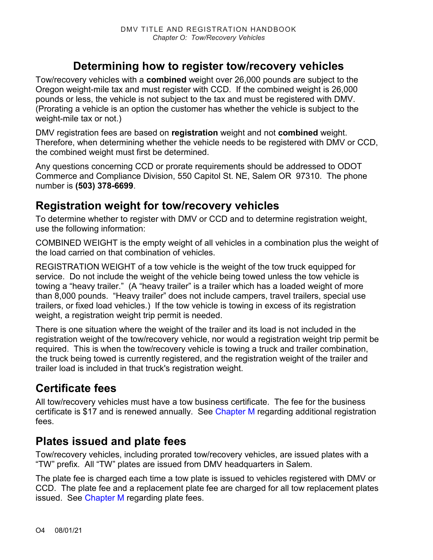### **Determining how to register tow/recovery vehicles**

Tow/recovery vehicles with a **combined** weight over 26,000 pounds are subject to the Oregon weight-mile tax and must register with CCD. If the combined weight is 26,000 pounds or less, the vehicle is not subject to the tax and must be registered with DMV. (Prorating a vehicle is an option the customer has whether the vehicle is subject to the weight-mile tax or not.)

DMV registration fees are based on **registration** weight and not **combined** weight. Therefore, when determining whether the vehicle needs to be registered with DMV or CCD, the combined weight must first be determined.

Any questions concerning CCD or prorate requirements should be addressed to ODOT Commerce and Compliance Division, 550 Capitol St. NE, Salem OR 97310. The phone number is **(503) 378-6699**.

### **Registration weight for tow/recovery vehicles**

To determine whether to register with DMV or CCD and to determine registration weight, use the following information:

COMBINED WEIGHT is the empty weight of all vehicles in a combination plus the weight of the load carried on that combination of vehicles.

REGISTRATION WEIGHT of a tow vehicle is the weight of the tow truck equipped for service. Do not include the weight of the vehicle being towed unless the tow vehicle is towing a "heavy trailer." (A "heavy trailer" is a trailer which has a loaded weight of more than 8,000 pounds. "Heavy trailer" does not include campers, travel trailers, special use trailers, or fixed load vehicles.) If the tow vehicle is towing in excess of its registration weight, a registration weight trip permit is needed.

There is one situation where the weight of the trailer and its load is not included in the registration weight of the tow/recovery vehicle, nor would a registration weight trip permit be required. This is when the tow/recovery vehicle is towing a truck and trailer combination, the truck being towed is currently registered, and the registration weight of the trailer and trailer load is included in that truck's registration weight.

### **Certificate fees**

All tow/recovery vehicles must have a tow business certificate. The fee for the business certificate is \$17 and is renewed annually. See [Chapter M](https://www.oregon.gov/ODOT/DMV/docs/VTRH/Chapter_M.pdf) regarding additional registration fees.

### **Plates issued and plate fees**

Tow/recovery vehicles, including prorated tow/recovery vehicles, are issued plates with a "TW" prefix. All "TW" plates are issued from DMV headquarters in Salem.

The plate fee is charged each time a tow plate is issued to vehicles registered with DMV or CCD. The plate fee and a replacement plate fee are charged for all tow replacement plates issued. See [Chapter M](https://www.oregon.gov/ODOT/DMV/docs/VTRH/Chapter_M.pdf) regarding plate fees.